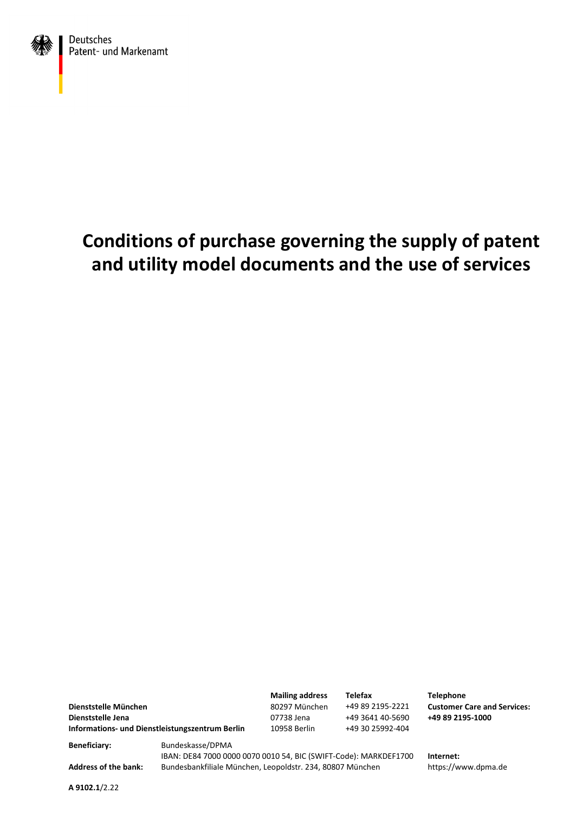

# **Conditions of purchase governing the supply of patent and utility model documents and the use of services**

**Dienststelle München Dienststelle Jena** 07738 Jena +49 3641 40-5690 **+49 89 2195-1000 Informations- und Dienstleistungszentrum Berlin** 10958 Berlin +49 30 25992-404

**Mailing address** 80297 München

**Telefax** +49 89 2195-2221 **Telephone Customer Care and Services:**

**Beneficiary:** Bundeskasse/DPMA

IBAN: DE84 7000 0000 0070 0010 54, BIC (SWIFT-Code): MARKDEF1700 **Internet:** Address of the bank: Bundesbankfiliale München, Leopoldstr. 234, 80807 München https://www.dpma.de

**A 9102.1**/2.22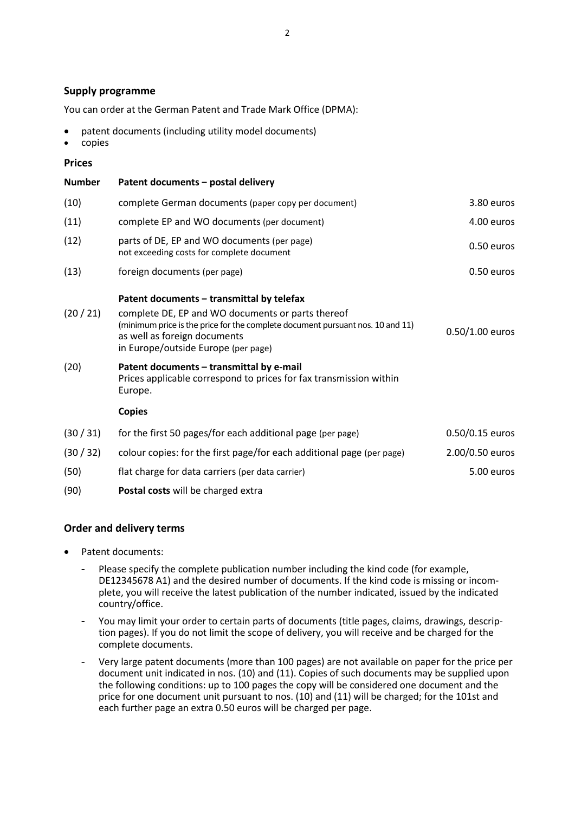### **Supply programme**

You can order at the German Patent and Trade Mark Office (DPMA):

- patent documents (including utility model documents)
- copies

### **Prices**

| <b>Number</b> | Patent documents - postal delivery                                                                                                                                                                                                                      |                   |
|---------------|---------------------------------------------------------------------------------------------------------------------------------------------------------------------------------------------------------------------------------------------------------|-------------------|
| (10)          | complete German documents (paper copy per document)                                                                                                                                                                                                     | 3.80 euros        |
| (11)          | complete EP and WO documents (per document)                                                                                                                                                                                                             | 4.00 euros        |
| (12)          | parts of DE, EP and WO documents (per page)<br>not exceeding costs for complete document                                                                                                                                                                | 0.50 euros        |
| (13)          | foreign documents (per page)                                                                                                                                                                                                                            | 0.50 euros        |
| (20/21)       | Patent documents - transmittal by telefax<br>complete DE, EP and WO documents or parts thereof<br>(minimum price is the price for the complete document pursuant nos. 10 and 11)<br>as well as foreign documents<br>in Europe/outside Europe (per page) | $0.50/1.00$ euros |
| (20)          | Patent documents - transmittal by e-mail<br>Prices applicable correspond to prices for fax transmission within<br>Europe.                                                                                                                               |                   |
|               | <b>Copies</b>                                                                                                                                                                                                                                           |                   |
| (30/31)       | for the first 50 pages/for each additional page (per page)                                                                                                                                                                                              | 0.50/0.15 euros   |
| (30/32)       | colour copies: for the first page/for each additional page (per page)                                                                                                                                                                                   | 2.00/0.50 euros   |
| (50)          | flat charge for data carriers (per data carrier)                                                                                                                                                                                                        | 5.00 euros        |
| (90)          | Postal costs will be charged extra                                                                                                                                                                                                                      |                   |

## **Order and delivery terms**

- Patent documents:
	- Please specify the complete publication number including the kind code (for example, DE12345678 A1) and the desired number of documents. If the kind code is missing or incomplete, you will receive the latest publication of the number indicated, issued by the indicated country/office.
	- You may limit your order to certain parts of documents (title pages, claims, drawings, description pages). If you do not limit the scope of delivery, you will receive and be charged for the complete documents.
	- Very large patent documents (more than 100 pages) are not available on paper for the price per document unit indicated in nos. (10) and (11). Copies of such documents may be supplied upon the following conditions: up to 100 pages the copy will be considered one document and the price for one document unit pursuant to nos. (10) and (11) will be charged; for the 101st and each further page an extra 0.50 euros will be charged per page.